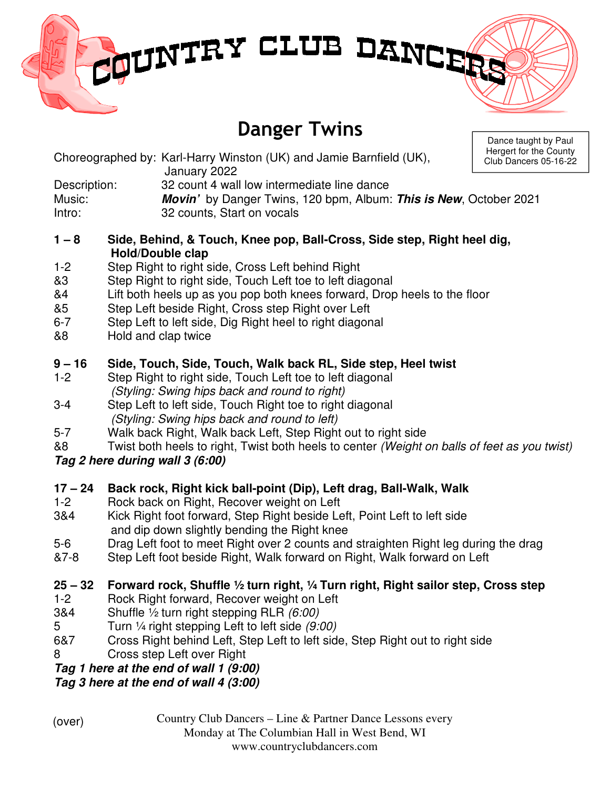# MUNTRY CLUB DANCER

# Danger Twins

Dance taught by Paul Hergert for the County rs 05-16-22

|              | Choreographed by: Karl-Harry Winston (UK) and Jamie Barnfield (UK),<br>January 2022 | Hergert for the<br>Club Dancers 0 |
|--------------|-------------------------------------------------------------------------------------|-----------------------------------|
|              |                                                                                     |                                   |
| Description: | 32 count 4 wall low intermediate line dance                                         |                                   |
| Music:       | <b>Movin'</b> by Danger Twins, 120 bpm, Album: <b>This is New</b> , October 2021    |                                   |
| Intro:       | 32 counts, Start on vocals                                                          |                                   |

#### **1 – 8 Side, Behind, & Touch, Knee pop, Ball-Cross, Side step, Right heel dig, Hold/Double clap**

- 1-2 Step Right to right side, Cross Left behind Right
- &3 Step Right to right side, Touch Left toe to left diagonal
- &4 Lift both heels up as you pop both knees forward, Drop heels to the floor
- &5 Step Left beside Right, Cross step Right over Left
- 6-7 Step Left to left side, Dig Right heel to right diagonal
- &8 Hold and clap twice

### **9 – 16 Side, Touch, Side, Touch, Walk back RL, Side step, Heel twist**

- 1-2 Step Right to right side, Touch Left toe to left diagonal (Styling: Swing hips back and round to right)
- 3-4 Step Left to left side, Touch Right toe to right diagonal (Styling: Swing hips back and round to left)
- 5-7 Walk back Right, Walk back Left, Step Right out to right side
- &8 Twist both heels to right, Twist both heels to center (Weight on balls of feet as you twist)

# **Tag 2 here during wall 3 (6:00)**

# **17 – 24 Back rock, Right kick ball-point (Dip), Left drag, Ball-Walk, Walk**

- 1-2 Rock back on Right, Recover weight on Left
- 3&4 Kick Right foot forward, Step Right beside Left, Point Left to left side and dip down slightly bending the Right knee
- 5-6 Drag Left foot to meet Right over 2 counts and straighten Right leg during the drag
- &7-8 Step Left foot beside Right, Walk forward on Right, Walk forward on Left

# **25 – 32 Forward rock, Shuffle ½ turn right, ¼ Turn right, Right sailor step, Cross step**

- 1-2 Rock Right forward, Recover weight on Left
- 3&4 Shuffle ½ turn right stepping RLR (6:00)
- 5 Turn ¼ right stepping Left to left side (9:00)
- 6&7 Cross Right behind Left, Step Left to left side, Step Right out to right side
- 8 Cross step Left over Right

**Tag 1 here at the end of wall 1 (9:00)**

**Tag 3 here at the end of wall 4 (3:00)**

(over)

Country Club Dancers – Line & Partner Dance Lessons every Monday at The Columbian Hall in West Bend, WI

#### www.countryclubdancers.com